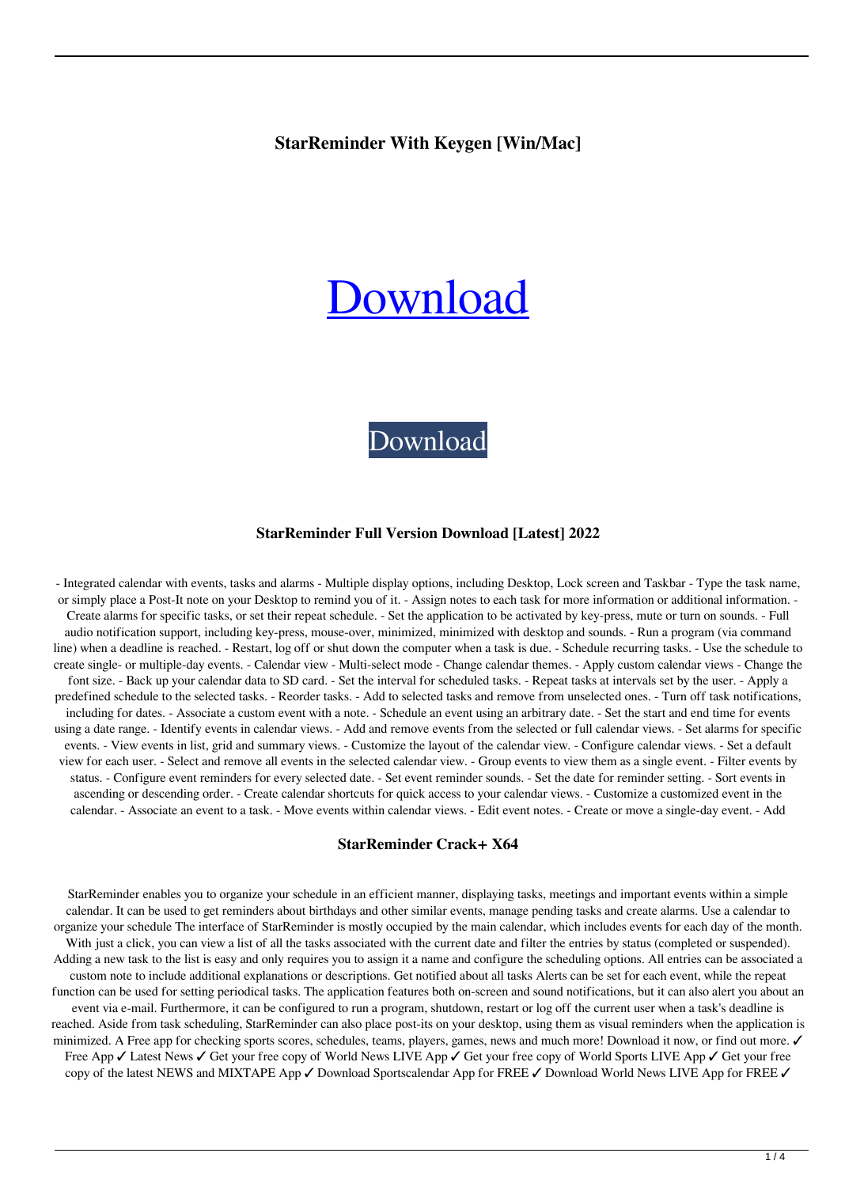## **StarReminder With Keygen [Win/Mac]**

# [Download](http://evacdir.com/U3RhclJlbWluZGVyU3R/windblown/bodywork.minimun.ZG93bmxvYWR8Rkk3YzNwdWZId3hOalUwTkRNMk5qVTRmSHd5TlRrd2ZId29UU2tnVjI5eVpIQnlaWE56SUZ0WVRVeFNVRU1nVmpJZ1VFUkdYUQ.prioritisation..phillips.stilled)

# [Download](http://evacdir.com/U3RhclJlbWluZGVyU3R/windblown/bodywork.minimun.ZG93bmxvYWR8Rkk3YzNwdWZId3hOalUwTkRNMk5qVTRmSHd5TlRrd2ZId29UU2tnVjI5eVpIQnlaWE56SUZ0WVRVeFNVRU1nVmpJZ1VFUkdYUQ.prioritisation..phillips.stilled)

#### **StarReminder Full Version Download [Latest] 2022**

- Integrated calendar with events, tasks and alarms - Multiple display options, including Desktop, Lock screen and Taskbar - Type the task name, or simply place a Post-It note on your Desktop to remind you of it. - Assign notes to each task for more information or additional information. - Create alarms for specific tasks, or set their repeat schedule. - Set the application to be activated by key-press, mute or turn on sounds. - Full audio notification support, including key-press, mouse-over, minimized, minimized with desktop and sounds. - Run a program (via command line) when a deadline is reached. - Restart, log off or shut down the computer when a task is due. - Schedule recurring tasks. - Use the schedule to create single- or multiple-day events. - Calendar view - Multi-select mode - Change calendar themes. - Apply custom calendar views - Change the font size. - Back up your calendar data to SD card. - Set the interval for scheduled tasks. - Repeat tasks at intervals set by the user. - Apply a predefined schedule to the selected tasks. - Reorder tasks. - Add to selected tasks and remove from unselected ones. - Turn off task notifications, including for dates. - Associate a custom event with a note. - Schedule an event using an arbitrary date. - Set the start and end time for events using a date range. - Identify events in calendar views. - Add and remove events from the selected or full calendar views. - Set alarms for specific events. - View events in list, grid and summary views. - Customize the layout of the calendar view. - Configure calendar views. - Set a default view for each user. - Select and remove all events in the selected calendar view. - Group events to view them as a single event. - Filter events by status. - Configure event reminders for every selected date. - Set event reminder sounds. - Set the date for reminder setting. - Sort events in ascending or descending order. - Create calendar shortcuts for quick access to your calendar views. - Customize a customized event in the calendar. - Associate an event to a task. - Move events within calendar views. - Edit event notes. - Create or move a single-day event. - Add

#### **StarReminder Crack+ X64**

StarReminder enables you to organize your schedule in an efficient manner, displaying tasks, meetings and important events within a simple calendar. It can be used to get reminders about birthdays and other similar events, manage pending tasks and create alarms. Use a calendar to organize your schedule The interface of StarReminder is mostly occupied by the main calendar, which includes events for each day of the month. With just a click, you can view a list of all the tasks associated with the current date and filter the entries by status (completed or suspended). Adding a new task to the list is easy and only requires you to assign it a name and configure the scheduling options. All entries can be associated a custom note to include additional explanations or descriptions. Get notified about all tasks Alerts can be set for each event, while the repeat function can be used for setting periodical tasks. The application features both on-screen and sound notifications, but it can also alert you about an event via e-mail. Furthermore, it can be configured to run a program, shutdown, restart or log off the current user when a task's deadline is reached. Aside from task scheduling, StarReminder can also place post-its on your desktop, using them as visual reminders when the application is minimized. A Free app for checking sports scores, schedules, teams, players, games, news and much more! Download it now, or find out more. ✓ Free App ✓ Latest News ✓ Get your free copy of World News LIVE App ✓ Get your free copy of World Sports LIVE App ✓ Get your free copy of the latest NEWS and MIXTAPE App ✓ Download Sportscalendar App for FREE ✓ Download World News LIVE App for FREE ✓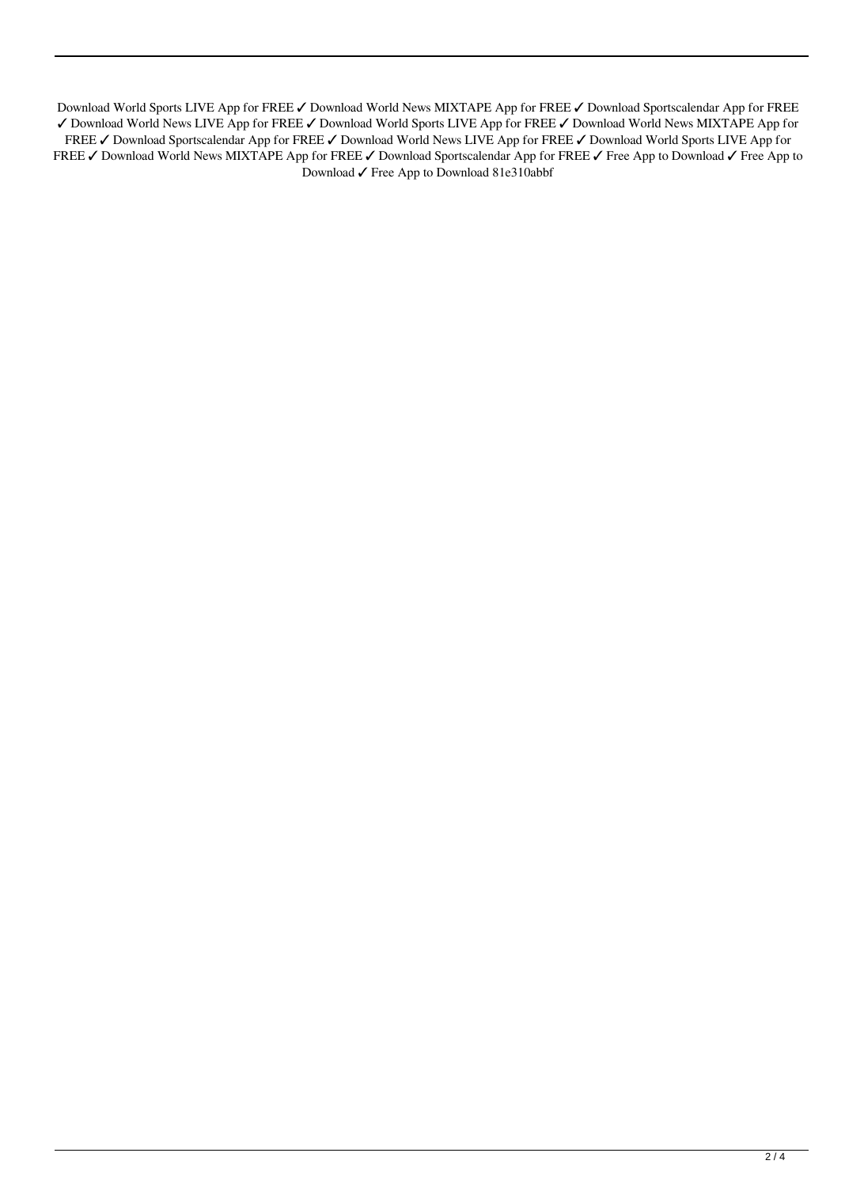Download World Sports LIVE App for FREE ✓ Download World News MIXTAPE App for FREE ✓ Download Sportscalendar App for FREE ✓ Download World News LIVE App for FREE ✓ Download World Sports LIVE App for FREE ✓ Download World News MIXTAPE App for FREE ✓ Download Sportscalendar App for FREE ✓ Download World News LIVE App for FREE ✓ Download World Sports LIVE App for FREE ✓ Download World News MIXTAPE App for FREE ✓ Download Sportscalendar App for FREE ✓ Free App to Download ✓ Free App to Download ✓ Free App to Download 81e310abbf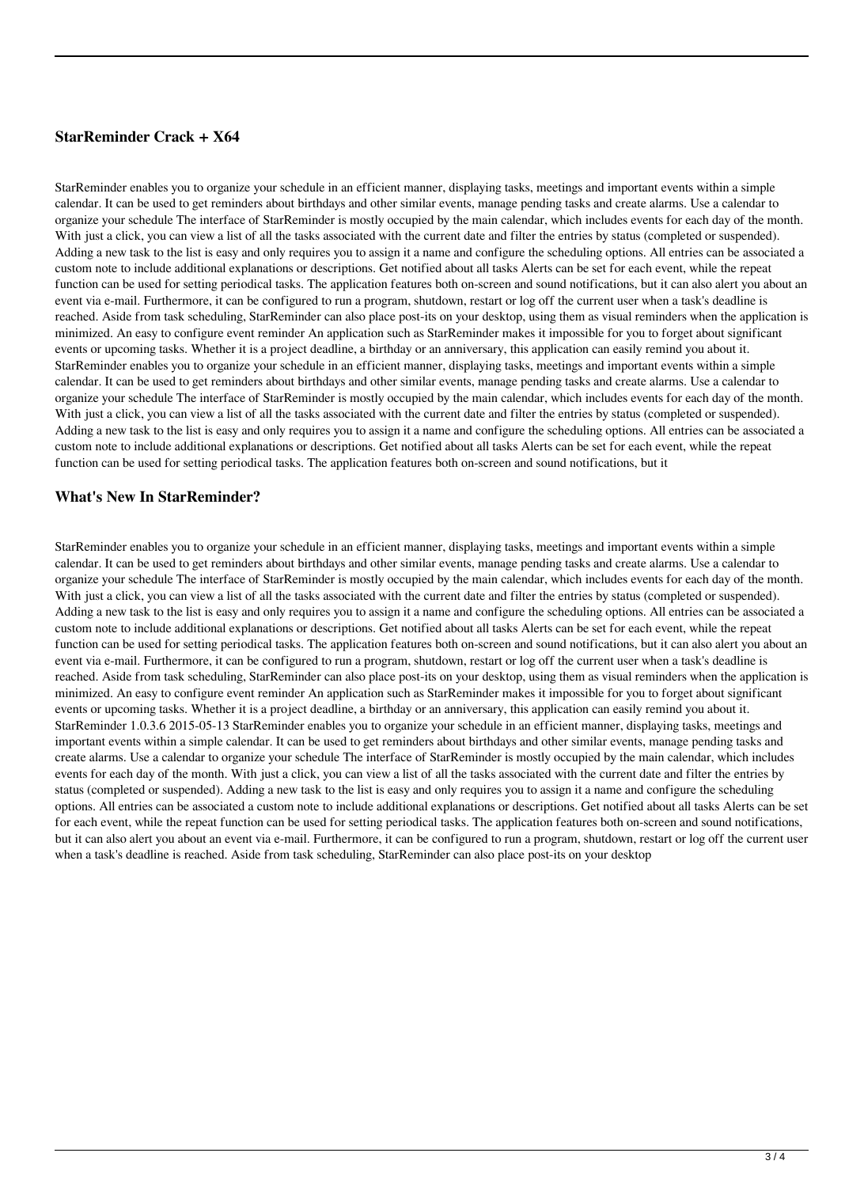### **StarReminder Crack + X64**

StarReminder enables you to organize your schedule in an efficient manner, displaying tasks, meetings and important events within a simple calendar. It can be used to get reminders about birthdays and other similar events, manage pending tasks and create alarms. Use a calendar to organize your schedule The interface of StarReminder is mostly occupied by the main calendar, which includes events for each day of the month. With just a click, you can view a list of all the tasks associated with the current date and filter the entries by status (completed or suspended). Adding a new task to the list is easy and only requires you to assign it a name and configure the scheduling options. All entries can be associated a custom note to include additional explanations or descriptions. Get notified about all tasks Alerts can be set for each event, while the repeat function can be used for setting periodical tasks. The application features both on-screen and sound notifications, but it can also alert you about an event via e-mail. Furthermore, it can be configured to run a program, shutdown, restart or log off the current user when a task's deadline is reached. Aside from task scheduling, StarReminder can also place post-its on your desktop, using them as visual reminders when the application is minimized. An easy to configure event reminder An application such as StarReminder makes it impossible for you to forget about significant events or upcoming tasks. Whether it is a project deadline, a birthday or an anniversary, this application can easily remind you about it. StarReminder enables you to organize your schedule in an efficient manner, displaying tasks, meetings and important events within a simple calendar. It can be used to get reminders about birthdays and other similar events, manage pending tasks and create alarms. Use a calendar to organize your schedule The interface of StarReminder is mostly occupied by the main calendar, which includes events for each day of the month. With just a click, you can view a list of all the tasks associated with the current date and filter the entries by status (completed or suspended). Adding a new task to the list is easy and only requires you to assign it a name and configure the scheduling options. All entries can be associated a custom note to include additional explanations or descriptions. Get notified about all tasks Alerts can be set for each event, while the repeat function can be used for setting periodical tasks. The application features both on-screen and sound notifications, but it

#### **What's New In StarReminder?**

StarReminder enables you to organize your schedule in an efficient manner, displaying tasks, meetings and important events within a simple calendar. It can be used to get reminders about birthdays and other similar events, manage pending tasks and create alarms. Use a calendar to organize your schedule The interface of StarReminder is mostly occupied by the main calendar, which includes events for each day of the month. With just a click, you can view a list of all the tasks associated with the current date and filter the entries by status (completed or suspended). Adding a new task to the list is easy and only requires you to assign it a name and configure the scheduling options. All entries can be associated a custom note to include additional explanations or descriptions. Get notified about all tasks Alerts can be set for each event, while the repeat function can be used for setting periodical tasks. The application features both on-screen and sound notifications, but it can also alert you about an event via e-mail. Furthermore, it can be configured to run a program, shutdown, restart or log off the current user when a task's deadline is reached. Aside from task scheduling, StarReminder can also place post-its on your desktop, using them as visual reminders when the application is minimized. An easy to configure event reminder An application such as StarReminder makes it impossible for you to forget about significant events or upcoming tasks. Whether it is a project deadline, a birthday or an anniversary, this application can easily remind you about it. StarReminder 1.0.3.6 2015-05-13 StarReminder enables you to organize your schedule in an efficient manner, displaying tasks, meetings and important events within a simple calendar. It can be used to get reminders about birthdays and other similar events, manage pending tasks and create alarms. Use a calendar to organize your schedule The interface of StarReminder is mostly occupied by the main calendar, which includes events for each day of the month. With just a click, you can view a list of all the tasks associated with the current date and filter the entries by status (completed or suspended). Adding a new task to the list is easy and only requires you to assign it a name and configure the scheduling options. All entries can be associated a custom note to include additional explanations or descriptions. Get notified about all tasks Alerts can be set for each event, while the repeat function can be used for setting periodical tasks. The application features both on-screen and sound notifications, but it can also alert you about an event via e-mail. Furthermore, it can be configured to run a program, shutdown, restart or log off the current user when a task's deadline is reached. Aside from task scheduling, StarReminder can also place post-its on your desktop